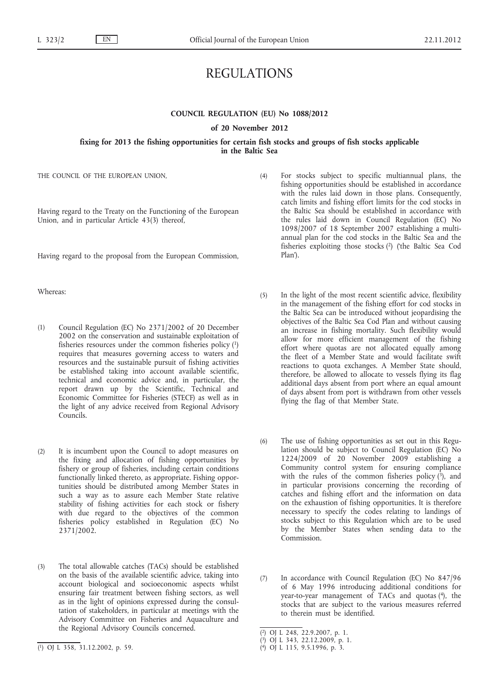# REGULATIONS

# **COUNCIL REGULATION (EU) No 1088/2012**

#### **of 20 November 2012**

## **fixing for 2013 the fishing opportunities for certain fish stocks and groups of fish stocks applicable in the Baltic Sea**

THE COUNCIL OF THE EUROPEAN UNION,

Having regard to the Treaty on the Functioning of the European Union, and in particular Article 43(3) thereof,

Having regard to the proposal from the European Commission,

Whereas:

- (1) Council Regulation (EC) No 2371/2002 of 20 December 2002 on the conservation and sustainable exploitation of fisheries resources under the common fisheries policy (1) requires that measures governing access to waters and resources and the sustainable pursuit of fishing activities be established taking into account available scientific, technical and economic advice and, in particular, the report drawn up by the Scientific, Technical and Economic Committee for Fisheries (STECF) as well as in the light of any advice received from Regional Advisory Councils.
- (2) It is incumbent upon the Council to adopt measures on the fixing and allocation of fishing opportunities by fishery or group of fisheries, including certain conditions functionally linked thereto, as appropriate. Fishing opportunities should be distributed among Member States in such a way as to assure each Member State relative stability of fishing activities for each stock or fishery with due regard to the objectives of the common fisheries policy established in Regulation (EC) No 2371/2002.
- (3) The total allowable catches (TACs) should be established on the basis of the available scientific advice, taking into account biological and socioeconomic aspects whilst ensuring fair treatment between fishing sectors, as well as in the light of opinions expressed during the consultation of stakeholders, in particular at meetings with the Advisory Committee on Fisheries and Aquaculture and the Regional Advisory Councils concerned.
- (4) For stocks subject to specific multiannual plans, the fishing opportunities should be established in accordance with the rules laid down in those plans. Consequently, catch limits and fishing effort limits for the cod stocks in the Baltic Sea should be established in accordance with the rules laid down in Council Regulation (EC) No 1098/2007 of 18 September 2007 establishing a multiannual plan for the cod stocks in the Baltic Sea and the fisheries exploiting those stocks (2) ('the Baltic Sea Cod Plan').
- (5) In the light of the most recent scientific advice, flexibility in the management of the fishing effort for cod stocks in the Baltic Sea can be introduced without jeopardising the objectives of the Baltic Sea Cod Plan and without causing an increase in fishing mortality. Such flexibility would allow for more efficient management of the fishing effort where quotas are not allocated equally among the fleet of a Member State and would facilitate swift reactions to quota exchanges. A Member State should, therefore, be allowed to allocate to vessels flying its flag additional days absent from port where an equal amount of days absent from port is withdrawn from other vessels flying the flag of that Member State.
- (6) The use of fishing opportunities as set out in this Regulation should be subject to Council Regulation (EC) No 1224/2009 of 20 November 2009 establishing a Community control system for ensuring compliance with the rules of the common fisheries policy  $(\overline{3})$ , and in particular provisions concerning the recording of catches and fishing effort and the information on data on the exhaustion of fishing opportunities. It is therefore necessary to specify the codes relating to landings of stocks subject to this Regulation which are to be used by the Member States when sending data to the Commission.
- (7) In accordance with Council Regulation (EC) No 847/96 of 6 May 1996 introducing additional conditions for year-to-year management of TACs and quotas (4), the stocks that are subject to the various measures referred to therein must be identified.

<sup>(</sup> 1) OJ L 358, 31.12.2002, p. 59.

<sup>(</sup> 2) OJ L 248, 22.9.2007, p. 1.

<sup>(</sup> 3) OJ L 343, 22.12.2009, p. 1.

<sup>(</sup> 4) OJ L 115, 9.5.1996, p. 3.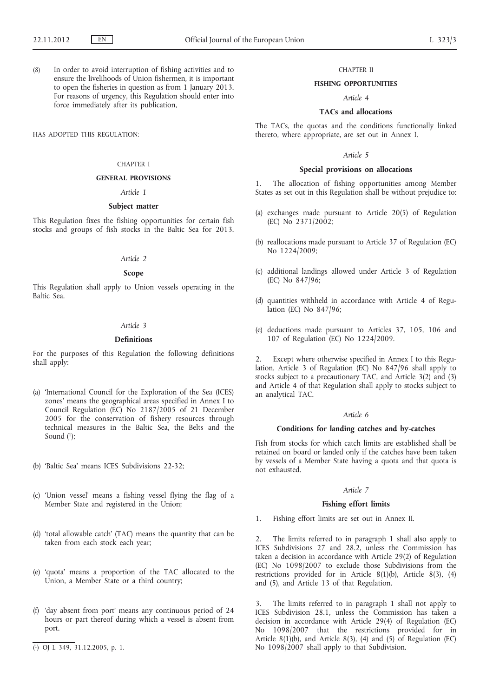(8) In order to avoid interruption of fishing activities and to ensure the livelihoods of Union fishermen, it is important to open the fisheries in question as from 1 January 2013. For reasons of urgency, this Regulation should enter into force immediately after its publication,

HAS ADOPTED THIS REGULATION:

#### CHAPTER I

## **GENERAL PROVISIONS**

#### *Article 1*

### **Subject matter**

This Regulation fixes the fishing opportunities for certain fish stocks and groups of fish stocks in the Baltic Sea for 2013.

## *Article 2*

#### **Scope**

This Regulation shall apply to Union vessels operating in the Baltic Sea.

### *Article 3*

## **Definitions**

For the purposes of this Regulation the following definitions shall apply:

- (a) 'International Council for the Exploration of the Sea (ICES) zones' means the geographical areas specified in Annex I to Council Regulation (EC) No 2187/2005 of 21 December 2005 for the conservation of fishery resources through technical measures in the Baltic Sea, the Belts and the Sound  $(1)$ ;
- (b) 'Baltic Sea' means ICES Subdivisions 22-32;
- (c) 'Union vessel' means a fishing vessel flying the flag of a Member State and registered in the Union;
- (d) 'total allowable catch' (TAC) means the quantity that can be taken from each stock each year;
- (e) 'quota' means a proportion of the TAC allocated to the Union, a Member State or a third country;
- (f) 'day absent from port' means any continuous period of 24 hours or part thereof during which a vessel is absent from port.
- ( 1) OJ L 349, 31.12.2005, p. 1.

## CHAPTER II

### **FISHING OPPORTUNITIES**

# *Article 4*

# **TACs and allocations**

The TACs, the quotas and the conditions functionally linked thereto, where appropriate, are set out in Annex I.

### *Article 5*

#### **Special provisions on allocations**

1. The allocation of fishing opportunities among Member States as set out in this Regulation shall be without prejudice to:

- (a) exchanges made pursuant to Article 20(5) of Regulation (EC) No 2371/2002;
- (b) reallocations made pursuant to Article 37 of Regulation (EC) No 1224/2009;
- (c) additional landings allowed under Article 3 of Regulation (EC) No 847/96;
- (d) quantities withheld in accordance with Article 4 of Regulation (EC) No 847/96;
- (e) deductions made pursuant to Articles 37, 105, 106 and 107 of Regulation (EC) No 1224/2009.

2. Except where otherwise specified in Annex I to this Regulation, Article 3 of Regulation (EC) No 847/96 shall apply to stocks subject to a precautionary TAC, and Article 3(2) and (3) and Article 4 of that Regulation shall apply to stocks subject to an analytical TAC.

## *Article 6*

## **Conditions for landing catches and by-catches**

Fish from stocks for which catch limits are established shall be retained on board or landed only if the catches have been taken by vessels of a Member State having a quota and that quota is not exhausted.

### *Article 7*

#### **Fishing effort limits**

1. Fishing effort limits are set out in Annex II.

2. The limits referred to in paragraph 1 shall also apply to ICES Subdivisions 27 and 28.2, unless the Commission has taken a decision in accordance with Article 29(2) of Regulation (EC) No 1098/2007 to exclude those Subdivisions from the restrictions provided for in Article 8(1)(b), Article 8(3), (4) and (5), and Article 13 of that Regulation.

The limits referred to in paragraph 1 shall not apply to ICES Subdivision 28.1, unless the Commission has taken a decision in accordance with Article 29(4) of Regulation (EC) No 1098/2007 that the restrictions provided for in Article  $8(1)(b)$ , and Article  $8(3)$ , (4) and (5) of Regulation (EC) No 1098/2007 shall apply to that Subdivision.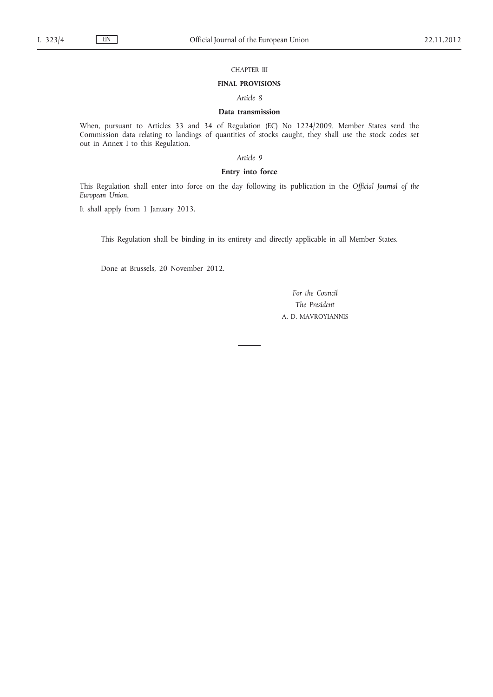## CHAPTER III

#### **FINAL PROVISIONS**

*Article 8*

# **Data transmission**

When, pursuant to Articles 33 and 34 of Regulation (EC) No 1224/2009, Member States send the Commission data relating to landings of quantities of stocks caught, they shall use the stock codes set out in Annex I to this Regulation.

*Article 9*

## **Entry into force**

This Regulation shall enter into force on the day following its publication in the *Official Journal of the European Union*.

It shall apply from 1 January 2013.

This Regulation shall be binding in its entirety and directly applicable in all Member States.

Done at Brussels, 20 November 2012.

*For the Council The President* A. D. MAVROYIANNIS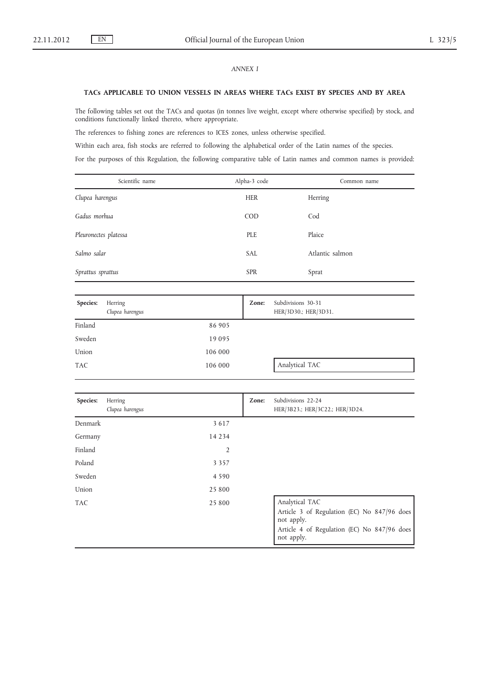# *ANNEX I*

#### **TACs APPLICABLE TO UNION VESSELS IN AREAS WHERE TACs EXIST BY SPECIES AND BY AREA**

The following tables set out the TACs and quotas (in tonnes live weight, except where otherwise specified) by stock, and conditions functionally linked thereto, where appropriate.

The references to fishing zones are references to ICES zones, unless otherwise specified.

Within each area, fish stocks are referred to following the alphabetical order of the Latin names of the species.

For the purposes of this Regulation, the following comparative table of Latin names and common names is provided:

| Scientific name       | Alpha-3 code | Common name     |
|-----------------------|--------------|-----------------|
| Clupea harengus       | <b>HER</b>   | Herring         |
| Gadus morhua          | COD          | Cod             |
| Pleuronectes platessa | PLE          | Plaice          |
| Salmo salar           | <b>SAL</b>   | Atlantic salmon |
| Sprattus sprattus     | <b>SPR</b>   | Sprat           |
|                       |              |                 |

| Species:   | Herring<br>Clupea harengus | Zone: | Subdivisions 30-31<br>HER/3D30.; HER/3D31. |
|------------|----------------------------|-------|--------------------------------------------|
| Finland    | 86 905                     |       |                                            |
| Sweden     | 19 09 5                    |       |                                            |
| Union      | 106 000                    |       |                                            |
| <b>TAC</b> | 106 000                    |       | Analytical TAC                             |

| Species:   | Herring<br>Clupea harengus | Zone: | Subdivisions 22-24<br>HER/3B23.; HER/3C22.; HER/3D24.                                                                                    |
|------------|----------------------------|-------|------------------------------------------------------------------------------------------------------------------------------------------|
| Denmark    | 3 6 1 7                    |       |                                                                                                                                          |
| Germany    | 14 2 3 4                   |       |                                                                                                                                          |
| Finland    | 2                          |       |                                                                                                                                          |
| Poland     | 3 3 5 7                    |       |                                                                                                                                          |
| Sweden     | 4 5 9 0                    |       |                                                                                                                                          |
| Union      | 25 800                     |       |                                                                                                                                          |
| <b>TAC</b> | 25 800                     |       | Analytical TAC<br>Article 3 of Regulation (EC) No 847/96 does<br>not apply.<br>Article 4 of Regulation (EC) No 847/96 does<br>not apply. |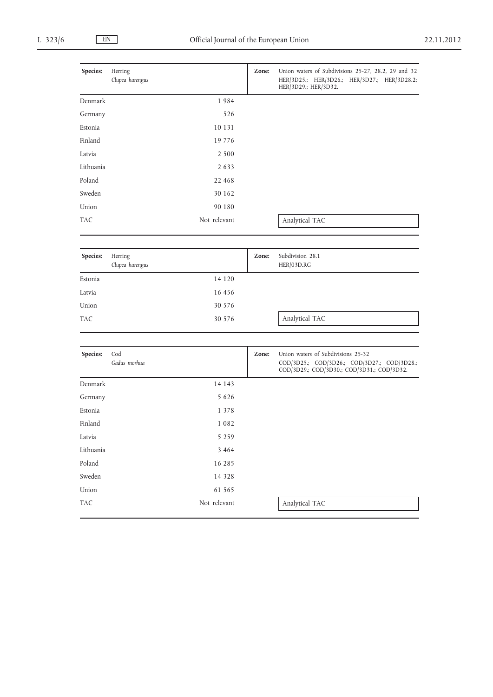| Species:   | Herring<br>Clupea harengus |              | Zone: | Union waters of Subdivisions 25-27, 28.2, 29 and 32<br>HER/3D25.; HER/3D26.; HER/3D27.; HER/3D28.2;<br>HER/3D29.; HER/3D32.     |
|------------|----------------------------|--------------|-------|---------------------------------------------------------------------------------------------------------------------------------|
| Denmark    |                            | 1984         |       |                                                                                                                                 |
| Germany    |                            | 526          |       |                                                                                                                                 |
| Estonia    |                            | 10 13 1      |       |                                                                                                                                 |
| Finland    |                            | 19 7 7 6     |       |                                                                                                                                 |
| Latvia     |                            | 2 5 0 0      |       |                                                                                                                                 |
| Lithuania  |                            | 2 6 3 3      |       |                                                                                                                                 |
| Poland     |                            | 22 468       |       |                                                                                                                                 |
| Sweden     |                            | 30 162       |       |                                                                                                                                 |
| Union      |                            | 90 180       |       |                                                                                                                                 |
| <b>TAC</b> |                            | Not relevant |       | Analytical TAC                                                                                                                  |
|            |                            |              |       |                                                                                                                                 |
| Species:   | Herring<br>Clupea harengus |              | Zone: | Subdivision 28.1<br>HER/03D.RG                                                                                                  |
| Estonia    |                            | 14 1 20      |       |                                                                                                                                 |
| Latvia     |                            | 16 45 6      |       |                                                                                                                                 |
| Union      |                            | 30 576       |       |                                                                                                                                 |
| <b>TAC</b> |                            | 30 576       |       | Analytical TAC                                                                                                                  |
|            |                            |              |       |                                                                                                                                 |
| Species:   | Cod<br>Gadus morhua        |              | Zone: | Union waters of Subdivisions 25-32<br>COD/3D25.; COD/3D26.; COD/3D27.; COD/3D28.;<br>COD/3D29.; COD/3D30.; COD/3D31.; COD/3D32. |
| Denmark    |                            | 14 14 3      |       |                                                                                                                                 |
| Germany    |                            | 5 6 2 6      |       |                                                                                                                                 |
| Estonia    |                            | 1 3 7 8      |       |                                                                                                                                 |
| Finland    |                            | 1 0 8 2      |       |                                                                                                                                 |
| Latvia     |                            | 5 2 5 9      |       |                                                                                                                                 |
| Lithuania  |                            | 3 4 6 4      |       |                                                                                                                                 |
| Poland     |                            | 16 28 5      |       |                                                                                                                                 |
| Sweden     |                            | 14 3 28      |       |                                                                                                                                 |
| Union      |                            | 61 565       |       |                                                                                                                                 |
| TAC        |                            | Not relevant |       | Analytical TAC                                                                                                                  |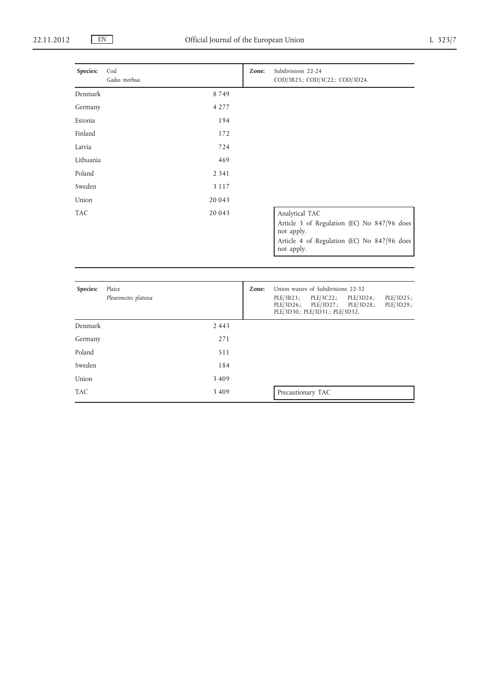| Species:   | Cod<br>Gadus morhua | Zone: | Subdivisions 22-24<br>COD/3B23.; COD/3C22.; COD/3D24.                                                                  |
|------------|---------------------|-------|------------------------------------------------------------------------------------------------------------------------|
| Denmark    | 8749                |       |                                                                                                                        |
| Germany    | 4 2 7 7             |       |                                                                                                                        |
| Estonia    | 194                 |       |                                                                                                                        |
| Finland    | 172                 |       |                                                                                                                        |
| Latvia     | 724                 |       |                                                                                                                        |
| Lithuania  | 469                 |       |                                                                                                                        |
| Poland     | 2 3 4 1             |       |                                                                                                                        |
| Sweden     | 3 1 1 7             |       |                                                                                                                        |
| Union      | 20 043              |       |                                                                                                                        |
| <b>TAC</b> | 20 043              |       | Analytical TAC                                                                                                         |
|            |                     |       | Article 3 of Regulation (EC) No 847/96 does<br>not apply.<br>Article 4 of Regulation (EC) No 847/96 does<br>not apply. |

| Species:   | Plaice<br>Pleuronectes platessa | Zone: | Union waters of Subdivisions 22-32<br>PLE/3B23.; PLE/3C22.; PLE/3D24.;<br>PLE/3D25.;<br>PLE/3D26.; PLE/3D27.; PLE/3D28.;<br>PLE/3D29.;<br>PLE/3D30.; PLE/3D31.; PLE/3D32. |
|------------|---------------------------------|-------|---------------------------------------------------------------------------------------------------------------------------------------------------------------------------|
| Denmark    | 2 4 4 3                         |       |                                                                                                                                                                           |
| Germany    | 271                             |       |                                                                                                                                                                           |
| Poland     | 511                             |       |                                                                                                                                                                           |
| Sweden     | 184                             |       |                                                                                                                                                                           |
| Union      | 3 4 0 9                         |       |                                                                                                                                                                           |
| <b>TAC</b> | 3 4 0 9                         |       | Precautionary TAC                                                                                                                                                         |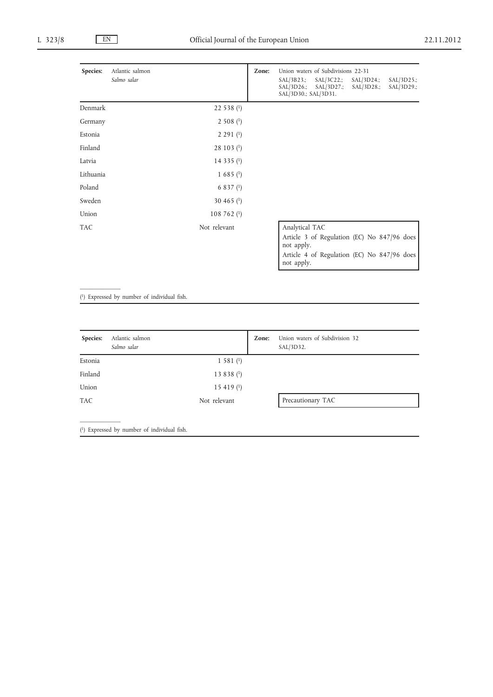| Species:   | Atlantic salmon<br>Salmo salar |                          | Zone: | Union waters of Subdivisions 22-31<br>SAL/3B23.;<br>$SAL/3C22$ .;<br>SAL/3D26.;<br>SAL/3D27.;<br>SAL/3D30.; SAL/3D31.                    | SAL/3D24.;<br>$SAL/3D28$ .; | SAL/3D25.;<br>$SAL/3D29$ .; |
|------------|--------------------------------|--------------------------|-------|------------------------------------------------------------------------------------------------------------------------------------------|-----------------------------|-----------------------------|
| Denmark    |                                | 22 538 $(1)$             |       |                                                                                                                                          |                             |                             |
| Germany    |                                | 2508(1)                  |       |                                                                                                                                          |                             |                             |
| Estonia    |                                | 2,291(1)                 |       |                                                                                                                                          |                             |                             |
| Finland    |                                | $28103$ ( <sup>1</sup> ) |       |                                                                                                                                          |                             |                             |
| Latvia     |                                | 14 335 $(1)$             |       |                                                                                                                                          |                             |                             |
| Lithuania  |                                | $1,685($ <sup>1</sup> )  |       |                                                                                                                                          |                             |                             |
| Poland     |                                | $6837$ (1)               |       |                                                                                                                                          |                             |                             |
| Sweden     |                                | 30 465 $(1)$             |       |                                                                                                                                          |                             |                             |
| Union      |                                | 108 762 $(1)$            |       |                                                                                                                                          |                             |                             |
| <b>TAC</b> |                                | Not relevant             |       | Analytical TAC<br>Article 3 of Regulation (EC) No 847/96 does<br>not apply.<br>Article 4 of Regulation (EC) No 847/96 does<br>not apply. |                             |                             |

( 1) Expressed by number of individual fish.

 $\mathcal{L}=\mathcal{L}$ 

 $\mathcal{L}=\mathcal{L}$ 

| Species:   | Atlantic salmon<br>Salmo salar |                     | Zone: | Union waters of Subdivision 32<br>SAL/3D32. |
|------------|--------------------------------|---------------------|-------|---------------------------------------------|
| Estonia    |                                | 1581 <sup>(1)</sup> |       |                                             |
| Finland    |                                | 13 8 3 8 $(1)$      |       |                                             |
| Union      |                                | 15 4 19 $(1)$       |       |                                             |
| <b>TAC</b> |                                | Not relevant        |       | Precautionary TAC                           |

( 1) Expressed by number of individual fish.